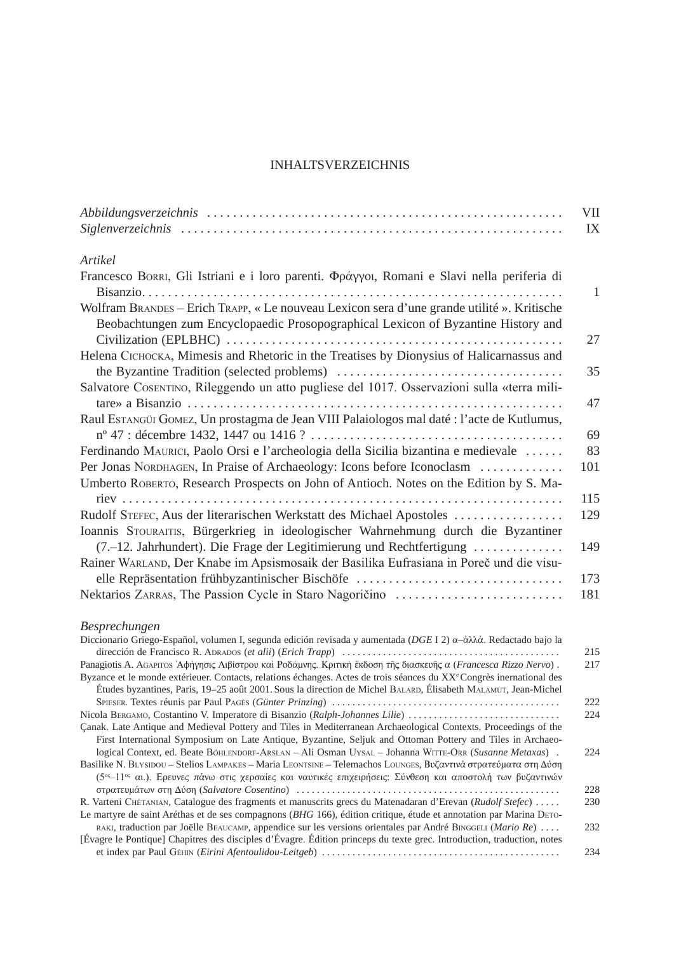## inhaltsverzeichnis

|                                                                                            | VII |
|--------------------------------------------------------------------------------------------|-----|
|                                                                                            | IX  |
| Artikel                                                                                    |     |
| Francesco BORRI, Gli Istriani e i loro parenti. Φράγγοι, Romani e Slavi nella periferia di |     |
| Wolfram BRANDES – Erich TRAPP, « Le nouveau Lexicon sera d'une grande utilité ». Kritische | 1   |
| Beobachtungen zum Encyclopaedic Prosopographical Lexicon of Byzantine History and          |     |
|                                                                                            | 27  |
| Helena Сісноска, Mimesis and Rhetoric in the Treatises by Dionysius of Halicarnassus and   |     |
|                                                                                            | 35  |
| Salvatore Cosentino, Rileggendo un atto pugliese del 1017. Osservazioni sulla «terra mili- | 47  |
| Raul ESTANGÜI GOMEZ, Un prostagma de Jean VIII Palaiologos mal daté : l'acte de Kutlumus,  |     |
|                                                                                            | 69  |
| Ferdinando MAURICI, Paolo Orsi e l'archeologia della Sicilia bizantina e medievale         | 83  |
| Per Jonas NORDHAGEN, In Praise of Archaeology: Icons before Iconoclasm                     | 101 |
| Umberto ROBERTO, Research Prospects on John of Antioch. Notes on the Edition by S. Ma-     | 115 |
| Rudolf STEFEC, Aus der literarischen Werkstatt des Michael Apostoles                       | 129 |
| Ioannis STOURAITIS, Bürgerkrieg in ideologischer Wahrnehmung durch die Byzantiner          |     |
| (7.–12. Jahrhundert). Die Frage der Legitimierung und Rechtfertigung                       | 149 |
| Rainer WARLAND, Der Knabe im Apsismosaik der Basilika Eufrasiana in Poreč und die visu-    |     |
| elle Repräsentation frühbyzantinischer Bischöfe                                            | 173 |
| Nektarios ZARRAS, The Passion Cycle in Staro Nagoričino                                    | 181 |
|                                                                                            |     |

## *Besprechungen*

| Diccionario Griego-Español, volumen I, segunda edición revisada y aumentada (DGE I 2) $\alpha-\alpha\lambda\lambda\alpha$ . Redactado bajo la |     |
|-----------------------------------------------------------------------------------------------------------------------------------------------|-----|
|                                                                                                                                               | 215 |
| Panagiotis A. AGAPITOS Αφήγησις Λιβίστρου και Ροδάμνης. Κριτική έκδοση της διασκευής α (Francesca Rizzo Nervo).                               | 217 |
| Byzance et le monde extérieuer. Contacts, relations échanges. Actes de trois séances du XX <sup>e</sup> Congrès inernational des              |     |
| Études byzantines, Paris, 19–25 août 2001. Sous la direction de Michel BALARD, Élisabeth MALAMUT, Jean-Michel                                 |     |
|                                                                                                                                               | 222 |
| Nicola BERGAMO, Costantino V. Imperatore di Bisanzio (Ralph-Johannes Lilie)                                                                   | 224 |
| Canak. Late Antique and Medieval Pottery and Tiles in Mediterranean Archaeological Contexts. Proceedings of the                               |     |
| First International Symposium on Late Antique, Byzantine, Seljuk and Ottoman Pottery and Tiles in Archaeo-                                    |     |
| logical Context, ed. Beate BÖHLENDORF-ARSLAN – Ali Osman UYSAL – Johanna WITTE-ORR (Susanne Metaxas).                                         | 224 |
| Basilike N. BLYSIDOU - Stelios LAMPAKES - Maria LEONTSINE - Telemachos LOUNGES, Βυζαντινά στρατεύματα στη Δύση                                |     |
| (5 <sup>ος</sup> -11ος αι.). Ερευνες πάνω στις χερσαίες και ναυτικές επιχειρήσεις: Σύνθεση και αποστολή των βυζαντινών                        |     |
|                                                                                                                                               | 228 |
| R. Varteni CHÉTANIAN, Catalogue des fragments et manuscrits grecs du Matenadaran d'Erevan (Rudolf Stefec)                                     | 230 |
| Le martyre de saint Aréthas et de ses compagnons (BHG 166), édition critique, étude et annotation par Marina DETO-                            |     |
| RAKI, traduction par Joëlle BEAUCAMP, appendice sur les versions orientales par André BINGGELI (Mario Re)                                     | 232 |
| [Évagre le Pontique] Chapitres des disciples d'Évagre. Édition princeps du texte grec. Introduction, traduction, notes                        |     |
|                                                                                                                                               | 234 |